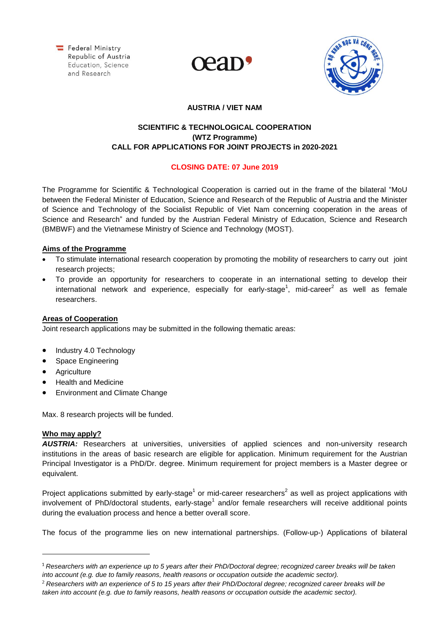Federal Ministry Republic of Austria Education, Science and Research





# **AUSTRIA / VIET NAM**

# **SCIENTIFIC & TECHNOLOGICAL COOPERATION (WTZ Programme) CALL FOR APPLICATIONS FOR JOINT PROJECTS in 2020-2021**

## **CLOSING DATE: 07 June 2019**

The Programme for Scientific & Technological Cooperation is carried out in the frame of the bilateral "MoU between the Federal Minister of Education, Science and Research of the Republic of Austria and the Minister of Science and Technology of the Socialist Republic of Viet Nam concerning cooperation in the areas of Science and Research" and funded by the Austrian Federal Ministry of Education, Science and Research (BMBWF) and the Vietnamese Ministry of Science and Technology (MOST).

### **Aims of the Programme**

- To stimulate international research cooperation by promoting the mobility of researchers to carry out joint research projects;
- To provide an opportunity for researchers to cooperate in an international setting to develop their international network and experience, especially for early-stage<sup>1</sup>, mid-career<sup>2</sup> as well as female researchers.

### **Areas of Cooperation**

Joint research applications may be submitted in the following thematic areas:

- Industry 4.0 Technology
- Space Engineering
- **•** Agriculture
- Health and Medicine
- Environment and Climate Change

Max. 8 research projects will be funded.

# **Who may apply?**

AUSTRIA: Researchers at universities, universities of applied sciences and non-university research institutions in the areas of basic research are eligible for application. Minimum requirement for the Austrian Principal Investigator is a PhD/Dr. degree. Minimum requirement for project members is a Master degree or equivalent.

Project applications submitted by early-stage<sup>1</sup> or mid-career researchers<sup>2</sup> as well as project applications with involvement of PhD/doctoral students, early-stage<sup>1</sup> and/or female researchers will receive additional points during the evaluation process and hence a better overall score.

The focus of the programme lies on new international partnerships. (Follow-up-) Applications of bilateral

*Researchers with an experience up to 5 years after their PhD/Doctoral degree; recognized career breaks will be taken into account (e.g. due to family reasons, health reasons or occupation outside the academic sector).*

*Researchers with an experience of 5 to 15 years after their PhD/Doctoral degree; recognized career breaks will be taken into account (e.g. due to family reasons, health reasons or occupation outside the academic sector).*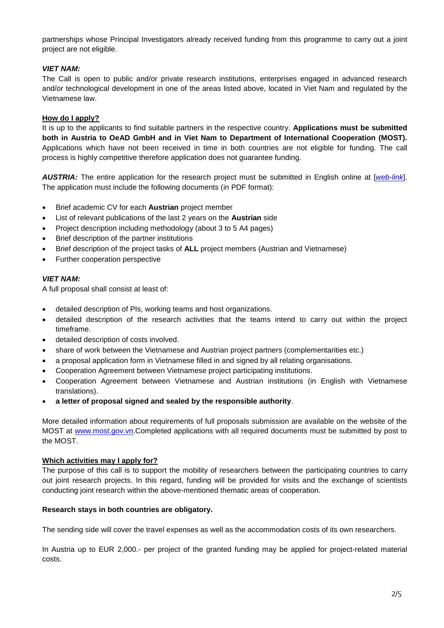partnerships whose Principal Investigators already received funding from this programme to carry out a joint project are not eligible.

### *VIET NAM:*

The Call is open to public and/or private research institutions, enterprises engaged in advanced research and/or technological development in one of the areas listed above, located in Viet Nam and regulated by the Vietnamese law.

### **How do I apply?**

It is up to the applicants to find suitable partners in the respective country. **Applications must be submitted both in Austria to OeAD GmbH and in Viet Nam to Department of International Cooperation (MOST).** Applications which have not been received in time in both countries are not eligible for funding. The call process is highly competitive therefore application does not guarantee funding.

*AUSTRIA:* The entire application for the research project must be submitted in English online at [*[web-link](https://asp.sop.co.at/oead/antrag?call=VN2020)*]. The application must include the following documents (in PDF format):

- Brief academic CV for each **Austrian** project member
- List of relevant publications of the last 2 years on the **Austrian** side
- Project description including methodology (about 3 to 5 A4 pages)
- Brief description of the partner institutions
- Brief description of the project tasks of **ALL** project members (Austrian and Vietnamese)
- Further cooperation perspective

### *VIET NAM:*

A full proposal shall consist at least of:

- detailed description of PIs, working teams and host organizations.
- detailed description of the research activities that the teams intend to carry out within the project timeframe.
- detailed description of costs involved.
- share of work between the Vietnamese and Austrian project partners (complementarities etc.)
- a proposal application form in Vietnamese filled in and signed by all relating organisations.
- Cooperation Agreement between Vietnamese project participating institutions.
- Cooperation Agreement between Vietnamese and Austrian institutions (in English with Vietnamese translations).
- **a letter of proposal signed and sealed by the responsible authority**.

More detailed information about requirements of full proposals submission are available on the website of the MOST at [www.most.gov.vn.](http://www.most.gov.vn/)Completed applications with all required documents must be submitted by post to the MOST.

### **Which activities may I apply for?**

The purpose of this call is to support the mobility of researchers between the participating countries to carry out joint research projects. In this regard, funding will be provided for visits and the exchange of scientists conducting joint research within the above-mentioned thematic areas of cooperation.

### **Research stays in both countries are obligatory.**

The sending side will cover the travel expenses as well as the accommodation costs of its own researchers.

In Austria up to EUR 2,000.- per project of the granted funding may be applied for project-related material costs.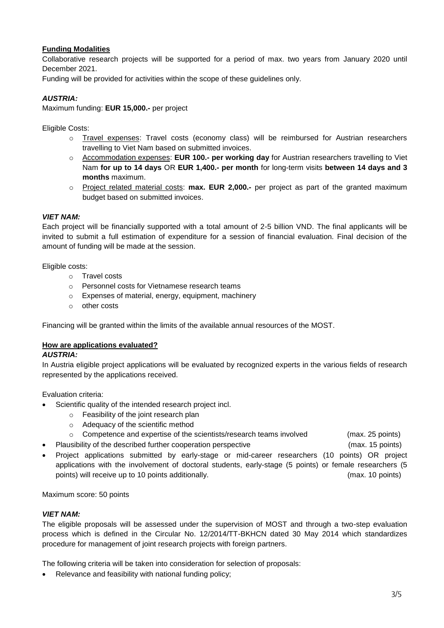# **Funding Modalities**

Collaborative research projects will be supported for a period of max. two years from January 2020 until December 2021.

Funding will be provided for activities within the scope of these guidelines only.

# *AUSTRIA:*

Maximum funding: **EUR 15,000.-** per project

Eligible Costs:

- o Travel expenses: Travel costs (economy class) will be reimbursed for Austrian researchers travelling to Viet Nam based on submitted invoices.
- o Accommodation expenses: **EUR 100.- per working day** for Austrian researchers travelling to Viet Nam **for up to 14 days** OR **EUR 1,400.- per month** for long-term visits **between 14 days and 3 months** maximum.
- o Project related material costs: **max. EUR 2,000.-** per project as part of the granted maximum budget based on submitted invoices.

### *VIET NAM:*

Each project will be financially supported with a total amount of 2-5 billion VND. The final applicants will be invited to submit a full estimation of expenditure for a session of financial evaluation. Final decision of the amount of funding will be made at the session.

Eligible costs:

- o Travel costs
- o Personnel costs for Vietnamese research teams
- o Expenses of material, energy, equipment, machinery
- o other costs

Financing will be granted within the limits of the available annual resources of the MOST.

### **How are applications evaluated?**

#### *AUSTRIA:*

In Austria eligible project applications will be evaluated by recognized experts in the various fields of research represented by the applications received.

Evaluation criteria:

- Scientific quality of the intended research project incl.
	- o Feasibility of the joint research plan
	- o Adequacy of the scientific method
	- o Competence and expertise of the scientists/research teams involved (max. 25 points)
- Plausibility of the described further cooperation perspective (max. 15 points)

 Project applications submitted by early-stage or mid-career researchers (10 points) OR project applications with the involvement of doctoral students, early-stage (5 points) or female researchers (5 points) will receive up to 10 points additionally. (max. 10 points)

Maximum score: 50 points

### *VIET NAM:*

The eligible proposals will be assessed under the supervision of MOST and through a two-step evaluation process which is defined in the Circular No. 12/2014/TT-BKHCN dated 30 May 2014 which standardizes procedure for management of joint research projects with foreign partners.

The following criteria will be taken into consideration for selection of proposals:

• Relevance and feasibility with national funding policy;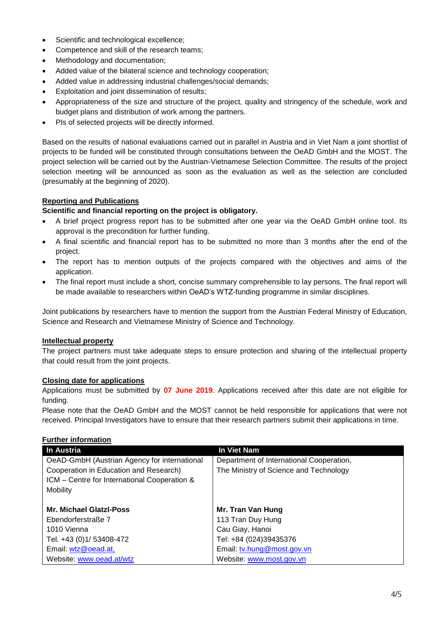- Scientific and technological excellence;
- Competence and skill of the research teams;
- Methodology and documentation;
- Added value of the bilateral science and technology cooperation;
- Added value in addressing industrial challenges/social demands;
- Exploitation and joint dissemination of results;
- Appropriateness of the size and structure of the project, quality and stringency of the schedule, work and budget plans and distribution of work among the partners.
- PIs of selected projects will be directly informed.

Based on the results of national evaluations carried out in parallel in Austria and in Viet Nam a joint shortlist of projects to be funded will be constituted through consultations between the OeAD GmbH and the MOST. The project selection will be carried out by the Austrian-Vietnamese Selection Committee. The results of the project selection meeting will be announced as soon as the evaluation as well as the selection are concluded (presumably at the beginning of 2020).

## **Reporting and Publications**

## **Scientific and financial reporting on the project is obligatory.**

- A brief project progress report has to be submitted after one year via the OeAD GmbH online tool. Its approval is the precondition for further funding.
- A final scientific and financial report has to be submitted no more than 3 months after the end of the project.
- The report has to mention outputs of the projects compared with the objectives and aims of the application.
- The final report must include a short, concise summary comprehensible to lay persons. The final report will be made available to researchers within OeAD's WTZ-funding programme in similar disciplines.

Joint publications by researchers have to mention the support from the Austrian Federal Ministry of Education, Science and Research and Vietnamese Ministry of Science and Technology.

### **Intellectual property**

The project partners must take adequate steps to ensure protection and sharing of the intellectual property that could result from the joint projects.

### **Closing date for applications**

Applications must be submitted by **07 June 2019**. Applications received after this date are not eligible for funding.

Please note that the OeAD GmbH and the MOST cannot be held responsible for applications that were not received. Principal Investigators have to ensure that their research partners submit their applications in time.

### **Further information**

| In Austria                                   | In Viet Nam                              |
|----------------------------------------------|------------------------------------------|
| OeAD-GmbH (Austrian Agency for international | Department of International Cooperation, |
| Cooperation in Education and Research)       | The Ministry of Science and Technology   |
| ICM - Centre for International Cooperation & |                                          |
| Mobility                                     |                                          |
|                                              |                                          |
| <b>Mr. Michael Glatzl-Poss</b>               | Mr. Tran Van Hung                        |
| Ebendorferstraße 7                           | 113 Tran Duy Hung                        |
| 1010 Vienna                                  | Cau Giay, Hanoi                          |
| Tel. +43 (0)1/ 53408-472                     | Tel: +84 (024)39435376                   |
| Email: wtz@oead.at,                          | Email: tv.hung@most.gov.vn               |
| Website: www.oead.at/wtz                     | Website: www.most.gov.vn                 |